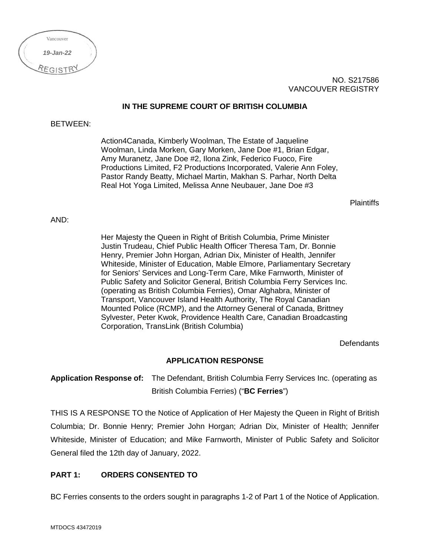| Vancouver |  |
|-----------|--|
| 19-Jan-22 |  |
| REGISTI   |  |

NO. S217586 VANCOUVER REGISTRY

## **IN THE SUPREME COURT OF BRITISH COLUMBIA**

## BETWEEN:

Action4Canada, Kimberly Woolman, The Estate of Jaqueline Woolman, Linda Morken, Gary Morken, Jane Doe #1, Brian Edgar, Amy Muranetz, Jane Doe #2, Ilona Zink, Federico Fuoco, Fire Productions Limited, F2 Productions Incorporated, Valerie Ann Foley, Pastor Randy Beatty, Michael Martin, Makhan S. Parhar, North Delta Real Hot Yoga Limited, Melissa Anne Neubauer, Jane Doe #3

**Plaintiffs** 

## AND:

Her Majesty the Queen in Right of British Columbia, Prime Minister Justin Trudeau, Chief Public Health Officer Theresa Tam, Dr. Bonnie Henry, Premier John Horgan, Adrian Dix, Minister of Health, Jennifer Whiteside, Minister of Education, Mable Elmore, Parliamentary Secretary for Seniors' Services and Long-Term Care, Mike Farnworth, Minister of Public Safety and Solicitor General, British Columbia Ferry Services Inc. (operating as British Columbia Ferries), Omar Alghabra, Minister of Transport, Vancouver Island Health Authority, The Royal Canadian Mounted Police (RCMP), and the Attorney General of Canada, Brittney Sylvester, Peter Kwok, Providence Health Care, Canadian Broadcasting Corporation, TransLink (British Columbia)

Defendants

### **APPLICATION RESPONSE**

**Application Response of:** The Defendant, British Columbia Ferry Services Inc. (operating as British Columbia Ferries) ("**BC Ferries**")

THIS IS A RESPONSE TO the Notice of Application of Her Majesty the Queen in Right of British Columbia; Dr. Bonnie Henry; Premier John Horgan; Adrian Dix, Minister of Health; Jennifer Whiteside, Minister of Education; and Mike Farnworth, Minister of Public Safety and Solicitor General filed the 12th day of January, 2022.

### **PART 1: ORDERS CONSENTED TO**

BC Ferries consents to the orders sought in paragraphs 1-2 of Part 1 of the Notice of Application.